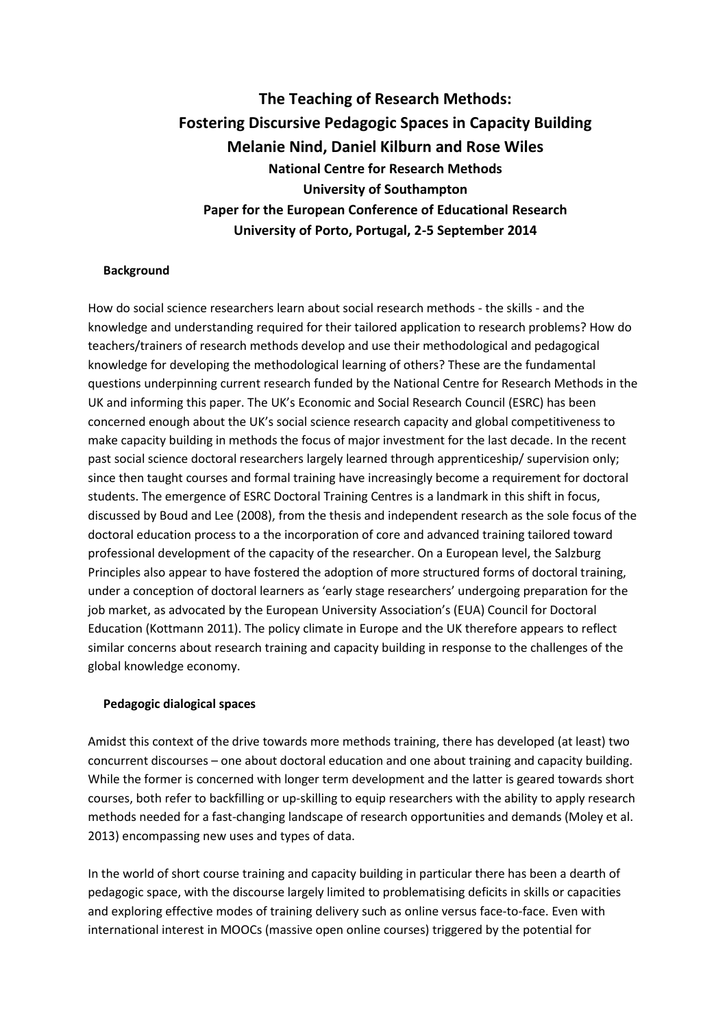**The Teaching of Research Methods: Fostering Discursive Pedagogic Spaces in Capacity Building Melanie Nind, Daniel Kilburn and Rose Wiles National Centre for Research Methods University of Southampton Paper for the European Conference of Educational Research University of Porto, Portugal, 2-5 September 2014**

### **Background**

How do social science researchers learn about social research methods - the skills - and the knowledge and understanding required for their tailored application to research problems? How do teachers/trainers of research methods develop and use their methodological and pedagogical knowledge for developing the methodological learning of others? These are the fundamental questions underpinning current research funded by the National Centre for Research Methods in the UK and informing this paper. The UK's Economic and Social Research Council (ESRC) has been concerned enough about the UK's social science research capacity and global competitiveness to make capacity building in methods the focus of major investment for the last decade. In the recent past social science doctoral researchers largely learned through apprenticeship/ supervision only; since then taught courses and formal training have increasingly become a requirement for doctoral students. The emergence of ESRC Doctoral Training Centres is a landmark in this shift in focus, discussed by Boud and Lee (2008), from the thesis and independent research as the sole focus of the doctoral education process to a the incorporation of core and advanced training tailored toward professional development of the capacity of the researcher. On a European level, the Salzburg Principles also appear to have fostered the adoption of more structured forms of doctoral training, under a conception of doctoral learners as 'early stage researchers' undergoing preparation for the job market, as advocated by the European University Association's (EUA) Council for Doctoral Education (Kottmann 2011). The policy climate in Europe and the UK therefore appears to reflect similar concerns about research training and capacity building in response to the challenges of the global knowledge economy.

#### **Pedagogic dialogical spaces**

Amidst this context of the drive towards more methods training, there has developed (at least) two concurrent discourses – one about doctoral education and one about training and capacity building. While the former is concerned with longer term development and the latter is geared towards short courses, both refer to backfilling or up-skilling to equip researchers with the ability to apply research methods needed for a fast-changing landscape of research opportunities and demands (Moley et al. 2013) encompassing new uses and types of data.

In the world of short course training and capacity building in particular there has been a dearth of pedagogic space, with the discourse largely limited to problematising deficits in skills or capacities and exploring effective modes of training delivery such as online versus face-to-face. Even with international interest in MOOCs (massive open online courses) triggered by the potential for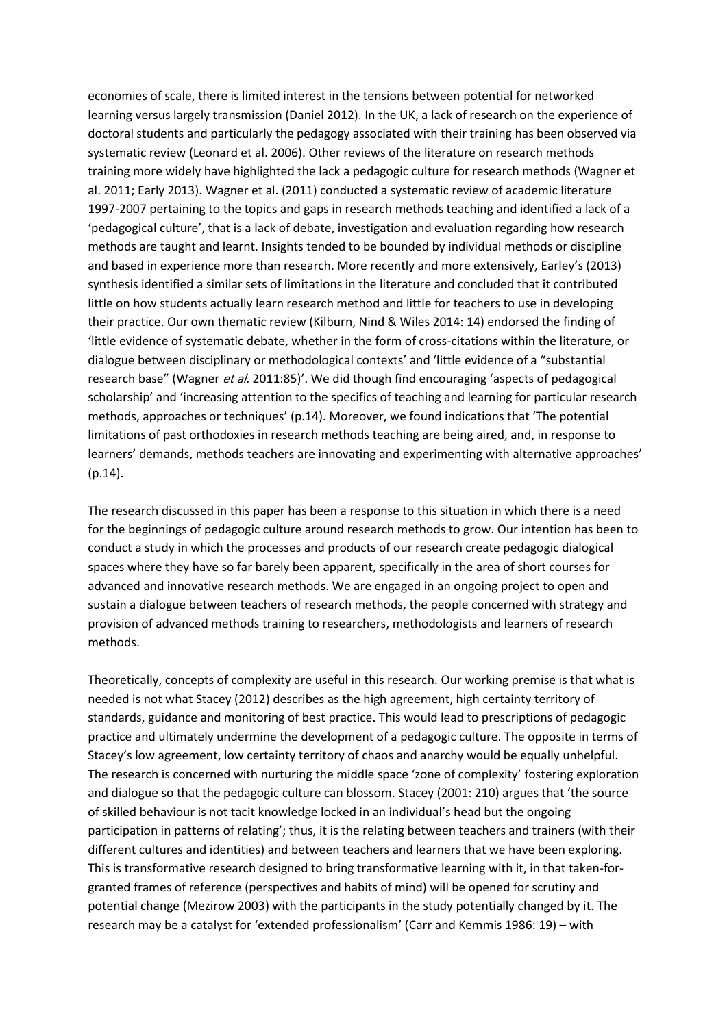economies of scale, there is limited interest in the tensions between potential for networked learning versus largely transmission (Daniel 2012). In the UK, a lack of research on the experience of doctoral students and particularly the pedagogy associated with their training has been observed via systematic review (Leonard et al. 2006). Other reviews of the literature on research methods training more widely have highlighted the lack a pedagogic culture for research methods (Wagner et al. 2011; Early 2013). Wagner et al. (2011) conducted a systematic review of academic literature 1997-2007 pertaining to the topics and gaps in research methods teaching and identified a lack of a 'pedagogical culture', that is a lack of debate, investigation and evaluation regarding how research methods are taught and learnt. Insights tended to be bounded by individual methods or discipline and based in experience more than research. More recently and more extensively, Earley's (2013) synthesis identified a similar sets of limitations in the literature and concluded that it contributed little on how students actually learn research method and little for teachers to use in developing their practice. Our own thematic review (Kilburn, Nind & Wiles 2014: 14) endorsed the finding of 'little evidence of systematic debate, whether in the form of cross-citations within the literature, or dialogue between disciplinary or methodological contexts' and 'little evidence of a "substantial research base" (Wagner et al. 2011:85)'. We did though find encouraging 'aspects of pedagogical scholarship' and 'increasing attention to the specifics of teaching and learning for particular research methods, approaches or techniques' (p.14). Moreover, we found indications that 'The potential limitations of past orthodoxies in research methods teaching are being aired, and, in response to learners' demands, methods teachers are innovating and experimenting with alternative approaches' (p.14).

The research discussed in this paper has been a response to this situation in which there is a need for the beginnings of pedagogic culture around research methods to grow. Our intention has been to conduct a study in which the processes and products of our research create pedagogic dialogical spaces where they have so far barely been apparent, specifically in the area of short courses for advanced and innovative research methods. We are engaged in an ongoing project to open and sustain a dialogue between teachers of research methods, the people concerned with strategy and provision of advanced methods training to researchers, methodologists and learners of research methods.

Theoretically, concepts of complexity are useful in this research. Our working premise is that what is needed is not what Stacey (2012) describes as the high agreement, high certainty territory of standards, guidance and monitoring of best practice. This would lead to prescriptions of pedagogic practice and ultimately undermine the development of a pedagogic culture. The opposite in terms of Stacey's low agreement, low certainty territory of chaos and anarchy would be equally unhelpful. The research is concerned with nurturing the middle space 'zone of complexity' fostering exploration and dialogue so that the pedagogic culture can blossom. Stacey (2001: 210) argues that 'the source of skilled behaviour is not tacit knowledge locked in an individual's head but the ongoing participation in patterns of relating'; thus, it is the relating between teachers and trainers (with their different cultures and identities) and between teachers and learners that we have been exploring. This is transformative research designed to bring transformative learning with it, in that taken-forgranted frames of reference (perspectives and habits of mind) will be opened for scrutiny and potential change (Mezirow 2003) with the participants in the study potentially changed by it. The research may be a catalyst for 'extended professionalism' (Carr and Kemmis 1986: 19) – with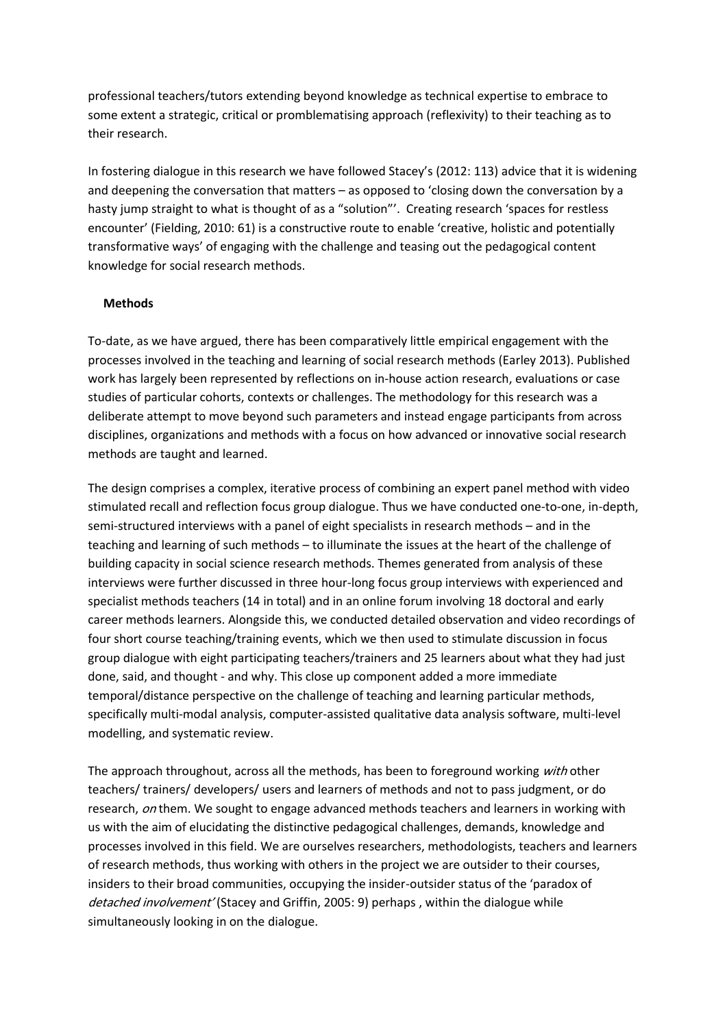professional teachers/tutors extending beyond knowledge as technical expertise to embrace to some extent a strategic, critical or promblematising approach (reflexivity) to their teaching as to their research.

In fostering dialogue in this research we have followed Stacey's (2012: 113) advice that it is widening and deepening the conversation that matters – as opposed to 'closing down the conversation by a hasty jump straight to what is thought of as a "solution"'. Creating research 'spaces for restless encounter' (Fielding, 2010: 61) is a constructive route to enable 'creative, holistic and potentially transformative ways' of engaging with the challenge and teasing out the pedagogical content knowledge for social research methods.

# **Methods**

To-date, as we have argued, there has been comparatively little empirical engagement with the processes involved in the teaching and learning of social research methods (Earley 2013). Published work has largely been represented by reflections on in-house action research, evaluations or case studies of particular cohorts, contexts or challenges. The methodology for this research was a deliberate attempt to move beyond such parameters and instead engage participants from across disciplines, organizations and methods with a focus on how advanced or innovative social research methods are taught and learned.

The design comprises a complex, iterative process of combining an expert panel method with video stimulated recall and reflection focus group dialogue. Thus we have conducted one-to-one, in-depth, semi-structured interviews with a panel of eight specialists in research methods – and in the teaching and learning of such methods – to illuminate the issues at the heart of the challenge of building capacity in social science research methods. Themes generated from analysis of these interviews were further discussed in three hour-long focus group interviews with experienced and specialist methods teachers (14 in total) and in an online forum involving 18 doctoral and early career methods learners. Alongside this, we conducted detailed observation and video recordings of four short course teaching/training events, which we then used to stimulate discussion in focus group dialogue with eight participating teachers/trainers and 25 learners about what they had just done, said, and thought - and why. This close up component added a more immediate temporal/distance perspective on the challenge of teaching and learning particular methods, specifically multi-modal analysis, computer-assisted qualitative data analysis software, multi-level modelling, and systematic review.

The approach throughout, across all the methods, has been to foreground working with other teachers/ trainers/ developers/ users and learners of methods and not to pass judgment, or do research, on them. We sought to engage advanced methods teachers and learners in working with us with the aim of elucidating the distinctive pedagogical challenges, demands, knowledge and processes involved in this field. We are ourselves researchers, methodologists, teachers and learners of research methods, thus working with others in the project we are outsider to their courses, insiders to their broad communities, occupying the insider-outsider status of the 'paradox of detached involvement' (Stacey and Griffin, 2005: 9) perhaps, within the dialogue while simultaneously looking in on the dialogue.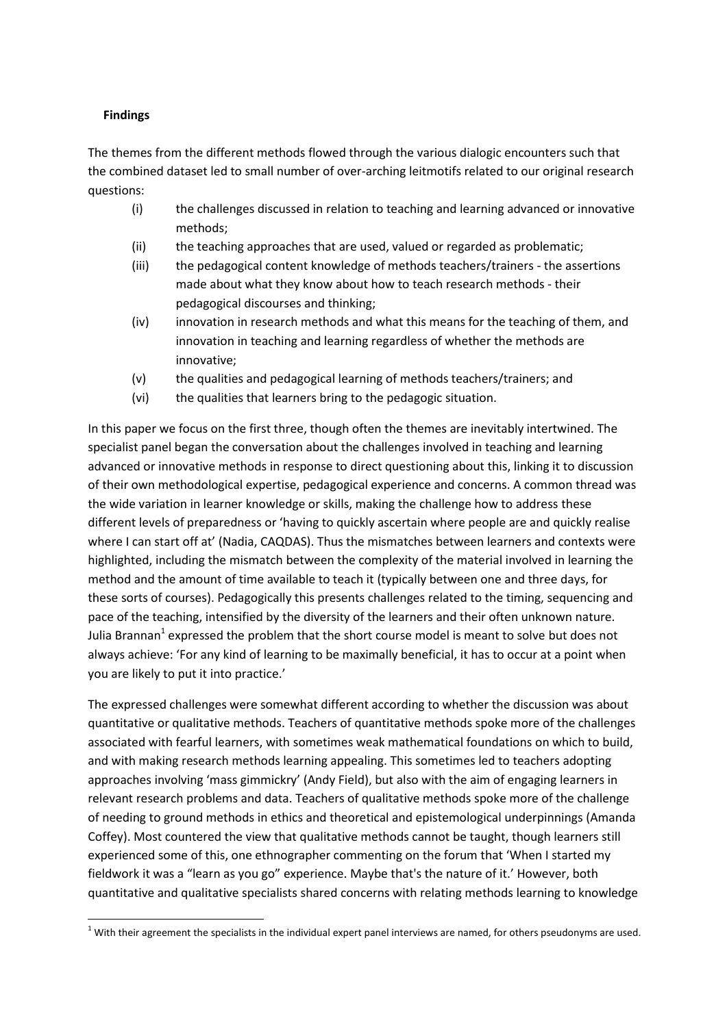# **Findings**

**.** 

The themes from the different methods flowed through the various dialogic encounters such that the combined dataset led to small number of over-arching leitmotifs related to our original research questions:

- (i) the challenges discussed in relation to teaching and learning advanced or innovative methods;
- (ii) the teaching approaches that are used, valued or regarded as problematic;
- (iii) the pedagogical content knowledge of methods teachers/trainers the assertions made about what they know about how to teach research methods - their pedagogical discourses and thinking;
- (iv) innovation in research methods and what this means for the teaching of them, and innovation in teaching and learning regardless of whether the methods are innovative;
- (v) the qualities and pedagogical learning of methods teachers/trainers; and
- (vi) the qualities that learners bring to the pedagogic situation.

In this paper we focus on the first three, though often the themes are inevitably intertwined. The specialist panel began the conversation about the challenges involved in teaching and learning advanced or innovative methods in response to direct questioning about this, linking it to discussion of their own methodological expertise, pedagogical experience and concerns. A common thread was the wide variation in learner knowledge or skills, making the challenge how to address these different levels of preparedness or 'having to quickly ascertain where people are and quickly realise where I can start off at' (Nadia, CAQDAS). Thus the mismatches between learners and contexts were highlighted, including the mismatch between the complexity of the material involved in learning the method and the amount of time available to teach it (typically between one and three days, for these sorts of courses). Pedagogically this presents challenges related to the timing, sequencing and pace of the teaching, intensified by the diversity of the learners and their often unknown nature. Julia Brannan<sup>1</sup> expressed the problem that the short course model is meant to solve but does not always achieve: 'For any kind of learning to be maximally beneficial, it has to occur at a point when you are likely to put it into practice.'

The expressed challenges were somewhat different according to whether the discussion was about quantitative or qualitative methods. Teachers of quantitative methods spoke more of the challenges associated with fearful learners, with sometimes weak mathematical foundations on which to build, and with making research methods learning appealing. This sometimes led to teachers adopting approaches involving 'mass gimmickry' (Andy Field), but also with the aim of engaging learners in relevant research problems and data. Teachers of qualitative methods spoke more of the challenge of needing to ground methods in ethics and theoretical and epistemological underpinnings (Amanda Coffey). Most countered the view that qualitative methods cannot be taught, though learners still experienced some of this, one ethnographer commenting on the forum that 'When I started my fieldwork it was a "learn as you go" experience. Maybe that's the nature of it.' However, both quantitative and qualitative specialists shared concerns with relating methods learning to knowledge

 $1$  With their agreement the specialists in the individual expert panel interviews are named, for others pseudonyms are used.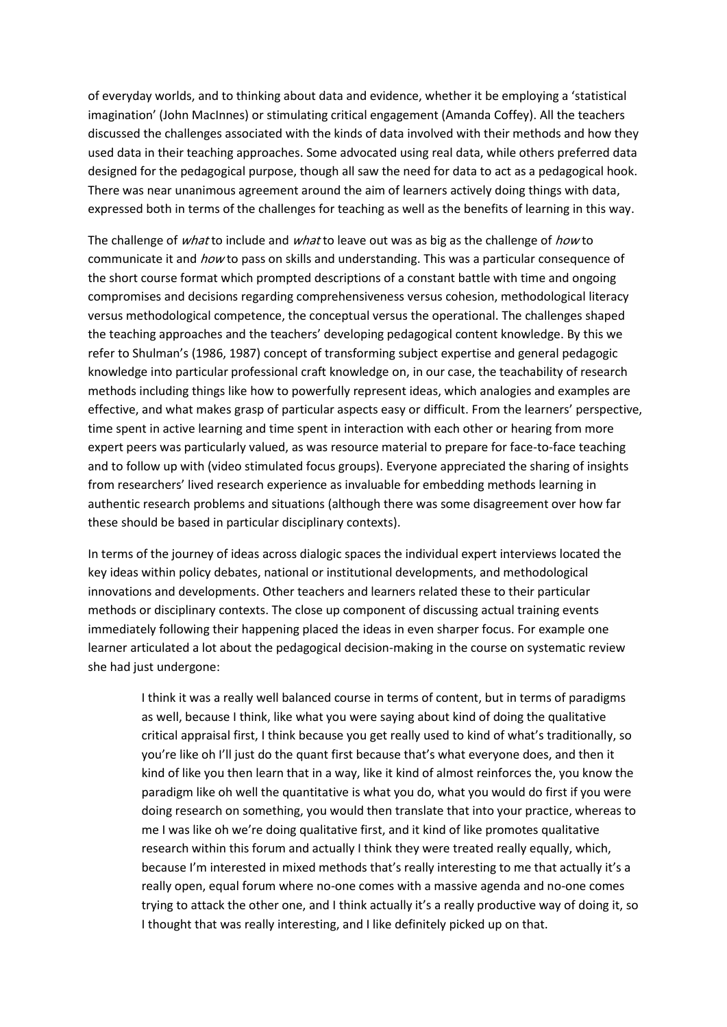of everyday worlds, and to thinking about data and evidence, whether it be employing a 'statistical imagination' (John MacInnes) or stimulating critical engagement (Amanda Coffey). All the teachers discussed the challenges associated with the kinds of data involved with their methods and how they used data in their teaching approaches. Some advocated using real data, while others preferred data designed for the pedagogical purpose, though all saw the need for data to act as a pedagogical hook. There was near unanimous agreement around the aim of learners actively doing things with data, expressed both in terms of the challenges for teaching as well as the benefits of learning in this way.

The challenge of *what* to include and *what* to leave out was as big as the challenge of *how* to communicate it and how to pass on skills and understanding. This was a particular consequence of the short course format which prompted descriptions of a constant battle with time and ongoing compromises and decisions regarding comprehensiveness versus cohesion, methodological literacy versus methodological competence, the conceptual versus the operational. The challenges shaped the teaching approaches and the teachers' developing pedagogical content knowledge. By this we refer to Shulman's (1986, 1987) concept of transforming subject expertise and general pedagogic knowledge into particular professional craft knowledge on, in our case, the teachability of research methods including things like how to powerfully represent ideas, which analogies and examples are effective, and what makes grasp of particular aspects easy or difficult. From the learners' perspective, time spent in active learning and time spent in interaction with each other or hearing from more expert peers was particularly valued, as was resource material to prepare for face-to-face teaching and to follow up with (video stimulated focus groups). Everyone appreciated the sharing of insights from researchers' lived research experience as invaluable for embedding methods learning in authentic research problems and situations (although there was some disagreement over how far these should be based in particular disciplinary contexts).

In terms of the journey of ideas across dialogic spaces the individual expert interviews located the key ideas within policy debates, national or institutional developments, and methodological innovations and developments. Other teachers and learners related these to their particular methods or disciplinary contexts. The close up component of discussing actual training events immediately following their happening placed the ideas in even sharper focus. For example one learner articulated a lot about the pedagogical decision-making in the course on systematic review she had just undergone:

I think it was a really well balanced course in terms of content, but in terms of paradigms as well, because I think, like what you were saying about kind of doing the qualitative critical appraisal first, I think because you get really used to kind of what's traditionally, so you're like oh I'll just do the quant first because that's what everyone does, and then it kind of like you then learn that in a way, like it kind of almost reinforces the, you know the paradigm like oh well the quantitative is what you do, what you would do first if you were doing research on something, you would then translate that into your practice, whereas to me I was like oh we're doing qualitative first, and it kind of like promotes qualitative research within this forum and actually I think they were treated really equally, which, because I'm interested in mixed methods that's really interesting to me that actually it's a really open, equal forum where no-one comes with a massive agenda and no-one comes trying to attack the other one, and I think actually it's a really productive way of doing it, so I thought that was really interesting, and I like definitely picked up on that.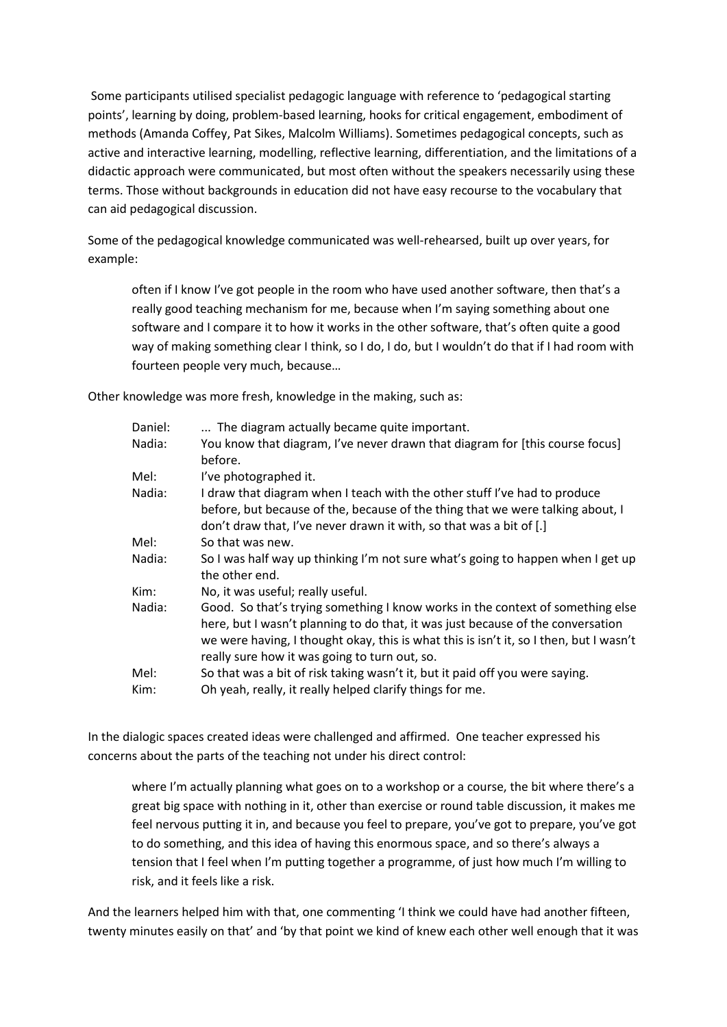Some participants utilised specialist pedagogic language with reference to 'pedagogical starting points', learning by doing, problem-based learning, hooks for critical engagement, embodiment of methods (Amanda Coffey, Pat Sikes, Malcolm Williams). Sometimes pedagogical concepts, such as active and interactive learning, modelling, reflective learning, differentiation, and the limitations of a didactic approach were communicated, but most often without the speakers necessarily using these terms. Those without backgrounds in education did not have easy recourse to the vocabulary that can aid pedagogical discussion.

Some of the pedagogical knowledge communicated was well-rehearsed, built up over years, for example:

often if I know I've got people in the room who have used another software, then that's a really good teaching mechanism for me, because when I'm saying something about one software and I compare it to how it works in the other software, that's often quite a good way of making something clear I think, so I do, I do, but I wouldn't do that if I had room with fourteen people very much, because…

Other knowledge was more fresh, knowledge in the making, such as:

| Daniel:      | The diagram actually became quite important.                                                                                                                                                                                                                                                                 |
|--------------|--------------------------------------------------------------------------------------------------------------------------------------------------------------------------------------------------------------------------------------------------------------------------------------------------------------|
| Nadia:       | You know that diagram, I've never drawn that diagram for [this course focus]<br>before.                                                                                                                                                                                                                      |
| Mel:         | I've photographed it.                                                                                                                                                                                                                                                                                        |
| Nadia:       | I draw that diagram when I teach with the other stuff I've had to produce<br>before, but because of the, because of the thing that we were talking about, I<br>don't draw that, I've never drawn it with, so that was a bit of [.]                                                                           |
| Mel:         | So that was new.                                                                                                                                                                                                                                                                                             |
| Nadia:       | So I was half way up thinking I'm not sure what's going to happen when I get up<br>the other end.                                                                                                                                                                                                            |
| Kim:         | No, it was useful; really useful.                                                                                                                                                                                                                                                                            |
| Nadia:       | Good. So that's trying something I know works in the context of something else<br>here, but I wasn't planning to do that, it was just because of the conversation<br>we were having, I thought okay, this is what this is isn't it, so I then, but I wasn't<br>really sure how it was going to turn out, so. |
| Mel:<br>Kim: | So that was a bit of risk taking wasn't it, but it paid off you were saying.<br>Oh yeah, really, it really helped clarify things for me.                                                                                                                                                                     |
|              |                                                                                                                                                                                                                                                                                                              |

In the dialogic spaces created ideas were challenged and affirmed. One teacher expressed his concerns about the parts of the teaching not under his direct control:

where I'm actually planning what goes on to a workshop or a course, the bit where there's a great big space with nothing in it, other than exercise or round table discussion, it makes me feel nervous putting it in, and because you feel to prepare, you've got to prepare, you've got to do something, and this idea of having this enormous space, and so there's always a tension that I feel when I'm putting together a programme, of just how much I'm willing to risk, and it feels like a risk.

And the learners helped him with that, one commenting 'I think we could have had another fifteen, twenty minutes easily on that' and 'by that point we kind of knew each other well enough that it was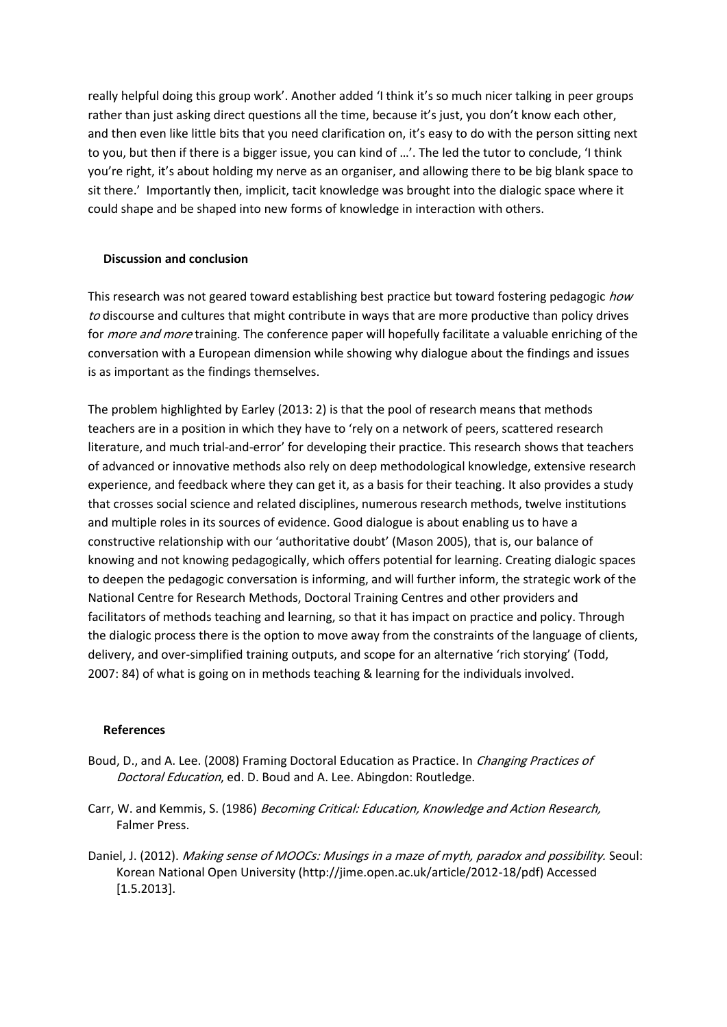really helpful doing this group work'. Another added 'I think it's so much nicer talking in peer groups rather than just asking direct questions all the time, because it's just, you don't know each other, and then even like little bits that you need clarification on, it's easy to do with the person sitting next to you, but then if there is a bigger issue, you can kind of …'. The led the tutor to conclude, 'I think you're right, it's about holding my nerve as an organiser, and allowing there to be big blank space to sit there.' Importantly then, implicit, tacit knowledge was brought into the dialogic space where it could shape and be shaped into new forms of knowledge in interaction with others.

# **Discussion and conclusion**

This research was not geared toward establishing best practice but toward fostering pedagogic how to discourse and cultures that might contribute in ways that are more productive than policy drives for *more and more* training. The conference paper will hopefully facilitate a valuable enriching of the conversation with a European dimension while showing why dialogue about the findings and issues is as important as the findings themselves.

The problem highlighted by Earley (2013: 2) is that the pool of research means that methods teachers are in a position in which they have to 'rely on a network of peers, scattered research literature, and much trial-and-error' for developing their practice. This research shows that teachers of advanced or innovative methods also rely on deep methodological knowledge, extensive research experience, and feedback where they can get it, as a basis for their teaching. It also provides a study that crosses social science and related disciplines, numerous research methods, twelve institutions and multiple roles in its sources of evidence. Good dialogue is about enabling us to have a constructive relationship with our 'authoritative doubt' (Mason 2005), that is, our balance of knowing and not knowing pedagogically, which offers potential for learning. Creating dialogic spaces to deepen the pedagogic conversation is informing, and will further inform, the strategic work of the National Centre for Research Methods, Doctoral Training Centres and other providers and facilitators of methods teaching and learning, so that it has impact on practice and policy. Through the dialogic process there is the option to move away from the constraints of the language of clients, delivery, and over-simplified training outputs, and scope for an alternative 'rich storying' (Todd, 2007: 84) of what is going on in methods teaching & learning for the individuals involved.

### **References**

- Boud, D., and A. Lee. (2008) Framing Doctoral Education as Practice. In Changing Practices of Doctoral Education, ed. D. Boud and A. Lee. Abingdon: Routledge.
- Carr, W. and Kemmis, S. (1986) Becoming Critical: Education, Knowledge and Action Research, Falmer Press.
- Daniel, J. (2012). Making sense of MOOCs: Musings in a maze of myth, paradox and possibility. Seoul: Korean National Open University (http://jime.open.ac.uk/article/2012-18/pdf) Accessed [1.5.2013].